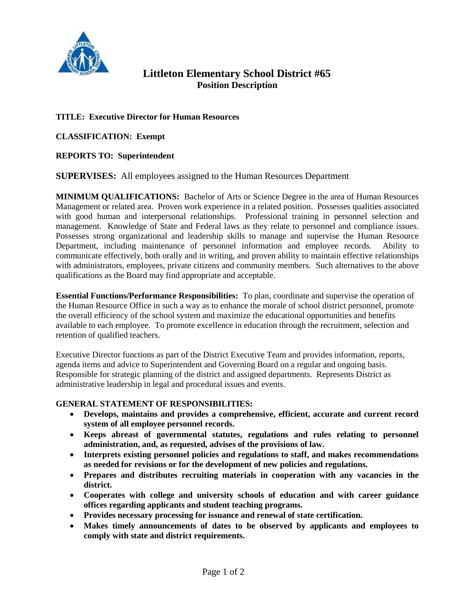

# **Littleton Elementary School District #65 Position Description**

## **TITLE: Executive Director for Human Resources**

**CLASSIFICATION: Exempt**

## **REPORTS TO: Superintendent**

## **SUPERVISES:** All employees assigned to the Human Resources Department

**MINIMUM QUALIFICATIONS:** Bachelor of Arts or Science Degree in the area of Human Resources Management or related area. Proven work experience in a related position. Possesses qualities associated with good human and interpersonal relationships. Professional training in personnel selection and management. Knowledge of State and Federal laws as they relate to personnel and compliance issues. Possesses strong organizational and leadership skills to manage and supervise the Human Resource Department, including maintenance of personnel information and employee records. Ability to communicate effectively, both orally and in writing, and proven ability to maintain effective relationships with administrators, employees, private citizens and community members. Such alternatives to the above qualifications as the Board may find appropriate and acceptable.

**Essential Functions/Performance Responsibilities:** To plan, coordinate and supervise the operation of the Human Resource Office in such a way as to enhance the morale of school district personnel, promote the overall efficiency of the school system and maximize the educational opportunities and benefits available to each employee. To promote excellence in education through the recruitment, selection and retention of qualified teachers.

Executive Director functions as part of the District Executive Team and provides information, reports, agenda items and advice to Superintendent and Governing Board on a regular and ongoing basis. Responsible for strategic planning of the district and assigned departments. Represents District as administrative leadership in legal and procedural issues and events.

## **GENERAL STATEMENT OF RESPONSIBILITIES:**

- **Develops, maintains and provides a comprehensive, efficient, accurate and current record system of all employee personnel records.**
- **Keeps abreast of governmental statutes, regulations and rules relating to personnel administration, and, as requested, advises of the provisions of law.**
- **Interprets existing personnel policies and regulations to staff, and makes recommendations as needed for revisions or for the development of new policies and regulations.**
- **Prepares and distributes recruiting materials in cooperation with any vacancies in the district.**
- **Cooperates with college and university schools of education and with career guidance offices regarding applicants and student teaching programs.**
- **Provides necessary processing for issuance and renewal of state certification.**
- **Makes timely announcements of dates to be observed by applicants and employees to comply with state and district requirements.**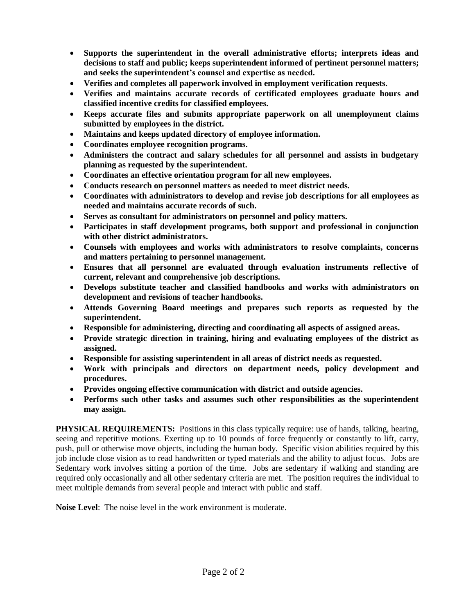- **Supports the superintendent in the overall administrative efforts; interprets ideas and decisions to staff and public; keeps superintendent informed of pertinent personnel matters; and seeks the superintendent's counsel and expertise as needed.**
- **Verifies and completes all paperwork involved in employment verification requests.**
- **Verifies and maintains accurate records of certificated employees graduate hours and classified incentive credits for classified employees.**
- **Keeps accurate files and submits appropriate paperwork on all unemployment claims submitted by employees in the district.**
- **Maintains and keeps updated directory of employee information.**
- **Coordinates employee recognition programs.**
- **Administers the contract and salary schedules for all personnel and assists in budgetary planning as requested by the superintendent.**
- **Coordinates an effective orientation program for all new employees.**
- **Conducts research on personnel matters as needed to meet district needs.**
- **Coordinates with administrators to develop and revise job descriptions for all employees as needed and maintains accurate records of such.**
- **Serves as consultant for administrators on personnel and policy matters.**
- **Participates in staff development programs, both support and professional in conjunction with other district administrators.**
- **Counsels with employees and works with administrators to resolve complaints, concerns and matters pertaining to personnel management.**
- **Ensures that all personnel are evaluated through evaluation instruments reflective of current, relevant and comprehensive job descriptions.**
- **Develops substitute teacher and classified handbooks and works with administrators on development and revisions of teacher handbooks.**
- **Attends Governing Board meetings and prepares such reports as requested by the superintendent.**
- **Responsible for administering, directing and coordinating all aspects of assigned areas.**
- **Provide strategic direction in training, hiring and evaluating employees of the district as assigned.**
- **Responsible for assisting superintendent in all areas of district needs as requested.**
- **Work with principals and directors on department needs, policy development and procedures.**
- **Provides ongoing effective communication with district and outside agencies.**
- **Performs such other tasks and assumes such other responsibilities as the superintendent may assign.**

**PHYSICAL REQUIREMENTS:** Positions in this class typically require: use of hands, talking, hearing, seeing and repetitive motions. Exerting up to 10 pounds of force frequently or constantly to lift, carry, push, pull or otherwise move objects, including the human body. Specific vision abilities required by this job include close vision as to read handwritten or typed materials and the ability to adjust focus. Jobs are Sedentary work involves sitting a portion of the time. Jobs are sedentary if walking and standing are required only occasionally and all other sedentary criteria are met. The position requires the individual to meet multiple demands from several people and interact with public and staff.

**Noise Level**: The noise level in the work environment is moderate.